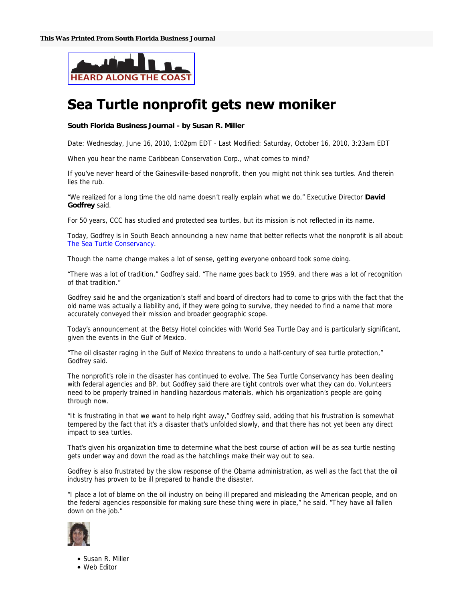

## Sea Turtle nonprofit gets new moniker

## **South Florida Business Journal - by Susan R. Miller**

Date: Wednesday, June 16, 2010, 1:02pm EDT - Last Modified: Saturday, October 16, 2010, 3:23am EDT

When you hear the name Caribbean Conservation Corp., what comes to mind?

If you've never heard of the Gainesville-based nonprofit, then you might not think sea turtles. And therein lies the rub.

"We realized for a long time the old name doesn't really explain what we do," Executive Director **David Godfrey** said.

For 50 years, CCC has studied and protected sea turtles, but its mission is not reflected in its name.

Today, Godfrey is in South Beach announcing a new name that better reflects what the nonprofit is all about: The Sea Turtle Conservancy.

Though the name change makes a lot of sense, getting everyone onboard took some doing.

"There was a lot of tradition," Godfrey said. "The name goes back to 1959, and there was a lot of recognition of that tradition."

Godfrey said he and the organization's staff and board of directors had to come to grips with the fact that the old name was actually a liability and, if they were going to survive, they needed to find a name that more accurately conveyed their mission and broader geographic scope.

Today's announcement at the Betsy Hotel coincides with World Sea Turtle Day and is particularly significant, given the events in the Gulf of Mexico.

"The oil disaster raging in the Gulf of Mexico threatens to undo a half-century of sea turtle protection," Godfrey said.

The nonprofit's role in the disaster has continued to evolve. The Sea Turtle Conservancy has been dealing with federal agencies and BP, but Godfrey said there are tight controls over what they can do. Volunteers need to be properly trained in handling hazardous materials, which his organization's people are going through now.

"It is frustrating in that we want to help right away," Godfrey said, adding that his frustration is somewhat tempered by the fact that it's a disaster that's unfolded slowly, and that there has not yet been any direct impact to sea turtles.

That's given his organization time to determine what the best course of action will be as sea turtle nesting gets under way and down the road as the hatchlings make their way out to sea.

Godfrey is also frustrated by the slow response of the Obama administration, as well as the fact that the oil industry has proven to be ill prepared to handle the disaster.

"I place a lot of blame on the oil industry on being ill prepared and misleading the American people, and on the federal agencies responsible for making sure these thing were in place," he said. "They have all fallen down on the job."



Susan R. Miller

Web Editor